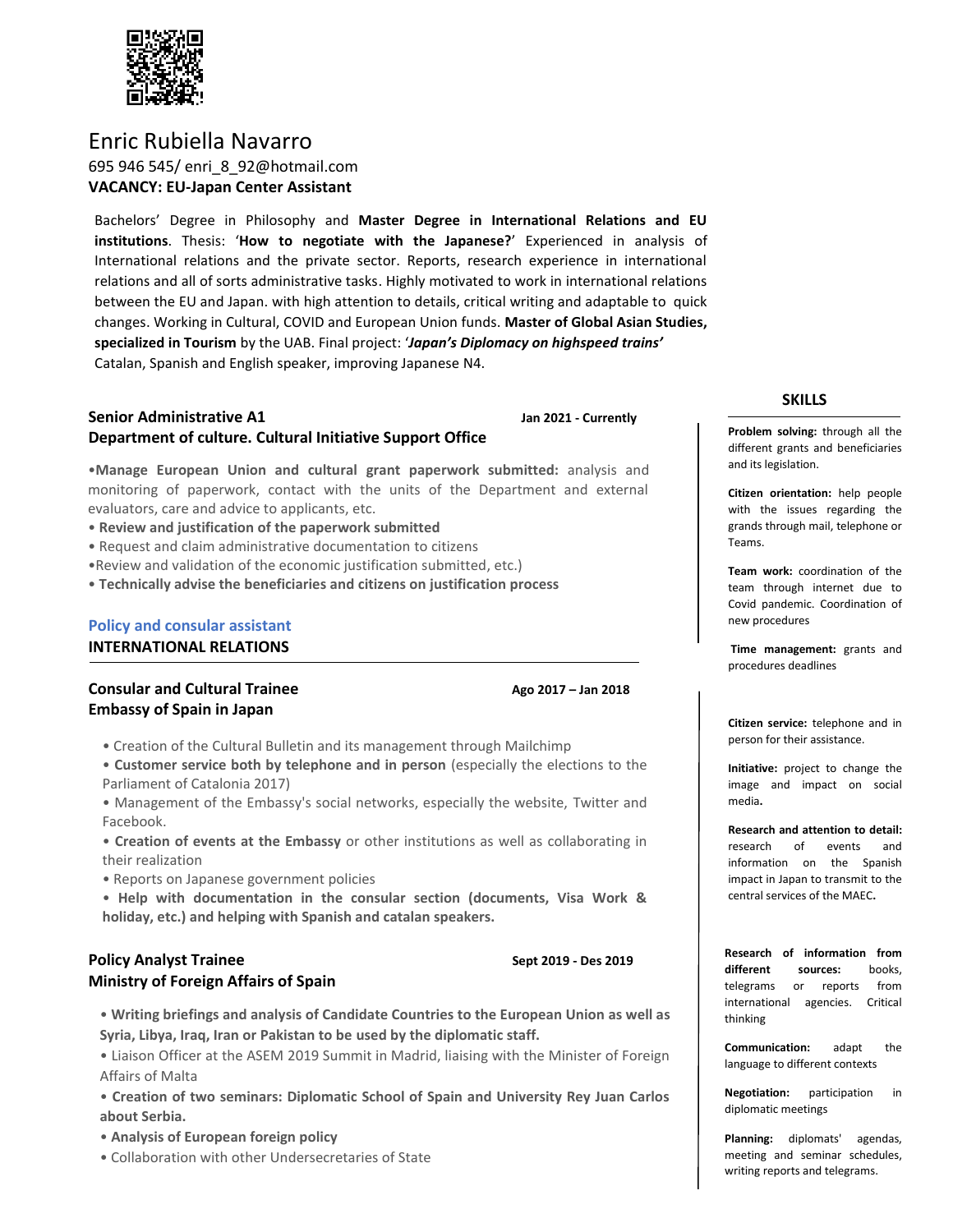

Enric Rubiella Navarro 695 946 545/ enri\_8\_92@hotmail.com **VACANCY: EU-Japan Center Assistant**

Bachelors' Degree in Philosophy and **Master Degree in International Relations and EU institutions**. Thesis: '**How to negotiate with the Japanese?**' Experienced in analysis of International relations and the private sector. Reports, research experience in international relations and all of sorts administrative tasks. Highly motivated to work in international relations between the EU and Japan. with high attention to details, critical writing and adaptable to quick changes. Working in Cultural, COVID and European Union funds. **Master of Global Asian Studies, specialized in Tourism** by the UAB. Final project: '*Japan's Diplomacy on highspeed trains'* Catalan, Spanish and English speaker, improving Japanese N4.

# **Senior Administrative A1 Jan 2021 - Currently Department of culture. Cultural Initiative Support Office**

•**Manage European Union and cultural grant paperwork submitted:** analysis and monitoring of paperwork, contact with the units of the Department and external evaluators, care and advice to applicants, etc.

- **Review and justification of the paperwork submitted**
- Request and claim administrative documentation to citizens
- •Review and validation of the economic justification submitted, etc.)
- **Technically advise the beneficiaries and citizens on justification process**

# **Policy and consular assistant INTERNATIONAL RELATIONS**

# **Consular and Cultural Trainee Ago 2017 – Jan 2018 Embassy of Spain in Japan**

• Creation of the Cultural Bulletin and its management through Mailchimp

- **Customer service both by telephone and in person** (especially the elections to the Parliament of Catalonia 2017)
- Management of the Embassy's social networks, especially the website, Twitter and Facebook.
- **Creation of events at the Embassy** or other institutions as well as collaborating in their realization
- Reports on Japanese government policies
- **Help with documentation in the consular section (documents, Visa Work & holiday, etc.) and helping with Spanish and catalan speakers.**

### **Policy Analyst Trainee <b>Analysis Executes COLLEGE COLLEGE Sept 2019 - Des 2019 Ministry of Foreign Affairs of Spain**

• **Writing briefings and analysis of Candidate Countries to the European Union as well as Syria, Libya, Iraq, Iran or Pakistan to be used by the diplomatic staff.**

• Liaison Officer at the ASEM 2019 Summit in Madrid, liaising with the Minister of Foreign Affairs of Malta

• **Creation of two seminars: Diplomatic School of Spain and University Rey Juan Carlos about Serbia.**

- **Analysis of European foreign policy**
- Collaboration with other Undersecretaries of State

#### **SKILLS**

**Problem solving:** through all the different grants and beneficiaries and its legislation.

**Citizen orientation:** help people with the issues regarding the grands through mail, telephone or Teams.

**Team work:** coordination of the team through internet due to Covid pandemic. Coordination of new procedures

**Time management:** grants and procedures deadlines

**Citizen service:** telephone and in person for their assistance.

**Initiative:** project to change the image and impact on social media**.**

**Research and attention to detail:**  research of events and information on the Spanish impact in Japan to transmit to the central services of the MAEC**.**

**Research of information from different sources:** books, telegrams or reports from international agencies. Critical thinking

**Communication:** adapt the language to different contexts

**Negotiation:** participation in diplomatic meetings

**Planning:** diplomats' agendas, meeting and seminar schedules, writing reports and telegrams.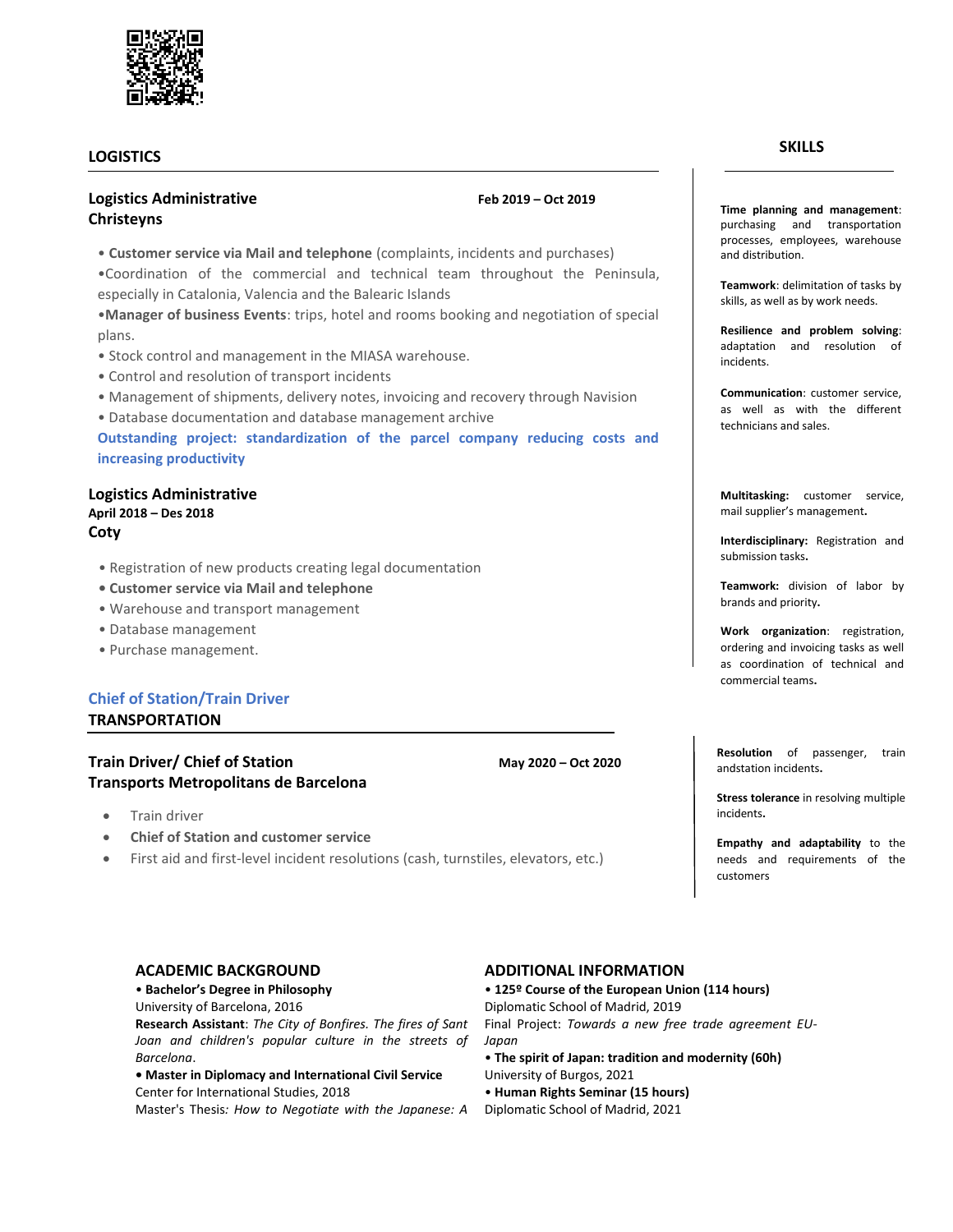### **LOGISTICS**

٦

# **Logistics Administrative Feb 2019 – Oct 2019 Christeyns**

• **Customer service via Mail and telephone** (complaints, incidents and purchases)

•Coordination of the commercial and technical team throughout the Peninsula, especially in Catalonia, Valencia and the Balearic Islands

•**Manager of business Events**: trips, hotel and rooms booking and negotiation of special plans.

- Stock control and management in the MIASA warehouse.
- Control and resolution of transport incidents
- Management of shipments, delivery notes, invoicing and recovery through Navision
- Database documentation and database management archive

**Outstanding project: standardization of the parcel company reducing costs and increasing productivity**

#### **Logistics Administrative April 2018 – Des 2018 Coty**

- Registration of new products creating legal documentation
- **Customer service via Mail and telephone**
- Warehouse and transport management
- Database management
- Purchase management.

# **Chief of Station/Train Driver**

**TRANSPORTATION**

### **Train Driver/ Chief of Station May 2020 – Oct 2020 Transports Metropolitans de Barcelona**

- Train driver
- **Chief of Station and customer service**
- First aid and first-level incident resolutions (cash, turnstiles, elevators, etc.)

#### **SKILLS**

**Time planning and management**: purchasing and transportation processes, employees, warehouse and distribution.

**Teamwork**: delimitation of tasks by skills, as well as by work needs.

**Resilience and problem solving**: adaptation and resolution of incidents.

**Communication**: customer service, as well as with the different technicians and sales.

**Multitasking:** customer service, mail supplier's management**.**

**Interdisciplinary:** Registration and submission tasks**.**

**Teamwork:** division of labor by brands and priority**.**

**Work organization**: registration, ordering and invoicing tasks as well as coordination of technical and commercial teams**.**

**Resolution** of passenger, train andstation incidents**.**

**Stress tolerance** in resolving multiple incidents**.**

**Empathy and adaptability** to the needs and requirements of the customers

• **Bachelor's Degree in Philosophy**

University of Barcelona, 2016

**Research Assistant**: *The City of Bonfires. The fires of Sant Joan and children's popular culture in the streets of Barcelona*.

**• Master in Diplomacy and International Civil Service** Center for International Studies, 2018

Master's Thesis*: How to Negotiate with the Japanese: A* 

### **ACADEMIC BACKGROUND ADDITIONAL INFORMATION**

• **125º Course of the European Union (114 hours)** Diplomatic School of Madrid, 2019

Final Project: *Towards a new free trade agreement EU-Japan*

- **The spirit of Japan: tradition and modernity (60h)** University of Burgos, 2021
- **Human Rights Seminar (15 hours)**
- Diplomatic School of Madrid, 2021